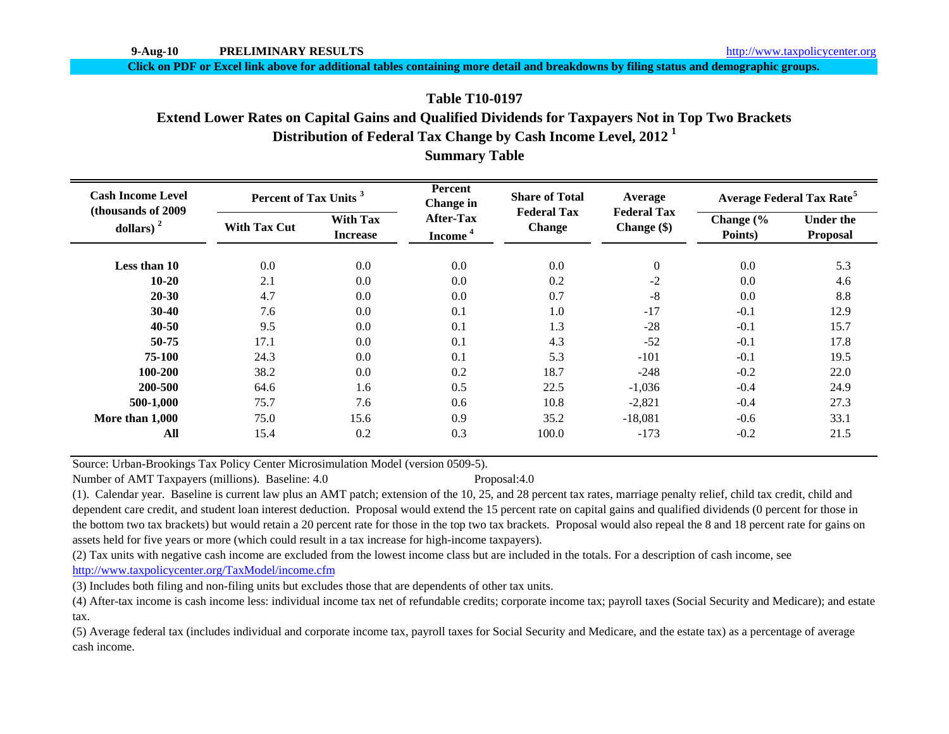**Click on PDF or Excel link above for additional tables containing more detail and breakdowns by filing status and demographic groups.**

# **Distribution of Federal Tax Change by Cash Income Level, 2012 <sup>1</sup> Summary Table Table T10-0197Extend Lower Rates on Capital Gains and Qualified Dividends for Taxpayers Not in Top Two Brackets**

| <b>Cash Income Level</b><br>(thousands of 2009) | Percent of Tax Units <sup>3</sup> |                                    | Percent<br>Change in                    | <b>Share of Total</b>               | Average                           | <b>Average Federal Tax Rate<sup>5</sup></b> |                                     |  |
|-------------------------------------------------|-----------------------------------|------------------------------------|-----------------------------------------|-------------------------------------|-----------------------------------|---------------------------------------------|-------------------------------------|--|
| dollars) $2$                                    | <b>With Tax Cut</b>               | <b>With Tax</b><br><b>Increase</b> | <b>After-Tax</b><br>Income <sup>4</sup> | <b>Federal Tax</b><br><b>Change</b> | <b>Federal Tax</b><br>Change (\$) | Change (%<br>Points)                        | <b>Under the</b><br><b>Proposal</b> |  |
| Less than 10                                    | 0.0                               | 0.0                                | 0.0                                     | 0.0                                 | $\boldsymbol{0}$                  | 0.0                                         | 5.3                                 |  |
| $10 - 20$                                       | 2.1                               | 0.0                                | 0.0                                     | 0.2                                 | $-2$                              | 0.0                                         | 4.6                                 |  |
| $20 - 30$                                       | 4.7                               | 0.0                                | 0.0                                     | 0.7                                 | $-8$                              | 0.0                                         | 8.8                                 |  |
| $30-40$                                         | 7.6                               | 0.0                                | 0.1                                     | 1.0                                 | $-17$                             | $-0.1$                                      | 12.9                                |  |
| $40 - 50$                                       | 9.5                               | 0.0                                | 0.1                                     | 1.3                                 | $-28$                             | $-0.1$                                      | 15.7                                |  |
| 50-75                                           | 17.1                              | 0.0                                | 0.1                                     | 4.3                                 | $-52$                             | $-0.1$                                      | 17.8                                |  |
| 75-100                                          | 24.3                              | 0.0                                | 0.1                                     | 5.3                                 | $-101$                            | $-0.1$                                      | 19.5                                |  |
| 100-200                                         | 38.2                              | 0.0                                | 0.2                                     | 18.7                                | $-248$                            | $-0.2$                                      | 22.0                                |  |
| 200-500                                         | 64.6                              | 1.6                                | 0.5                                     | 22.5                                | $-1,036$                          | $-0.4$                                      | 24.9                                |  |
| 500-1,000                                       | 75.7                              | 7.6                                | 0.6                                     | 10.8                                | $-2,821$                          | $-0.4$                                      | 27.3                                |  |
| More than 1,000                                 | 75.0                              | 15.6                               | 0.9                                     | 35.2                                | $-18,081$                         | $-0.6$                                      | 33.1                                |  |
| All                                             | 15.4                              | 0.2                                | 0.3                                     | 100.0                               | $-173$                            | $-0.2$                                      | 21.5                                |  |

Source: Urban-Brookings Tax Policy Center Microsimulation Model (version 0509-5).

Number of AMT Taxpayers (millions). Baseline: 4.0 Proposal:4.0

(1). Calendar year. Baseline is current law plus an AMT patch; extension of the 10, 25, and 28 percent tax rates, marriage penalty relief, child tax credit, child and dependent care credit, and student loan interest deduction. Proposal would extend the 15 percent rate on capital gains and qualified dividends (0 percent for those in the bottom two tax brackets) but would retain a 20 percent rate for those in the top two tax brackets. Proposal would also repeal the 8 and 18 percent rate for gains on assets held for five years or more (which could result in a tax increase for high-income taxpayers).

(2) Tax units with negative cash income are excluded from the lowest income class but are included in the totals. For a description of cash income, see http://www.taxpolicycenter.org/TaxModel/income.cfm

(3) Includes both filing and non-filing units but excludes those that are dependents of other tax units.

(4) After-tax income is cash income less: individual income tax net of refundable credits; corporate income tax; payroll taxes (Social Security and Medicare); and estate tax.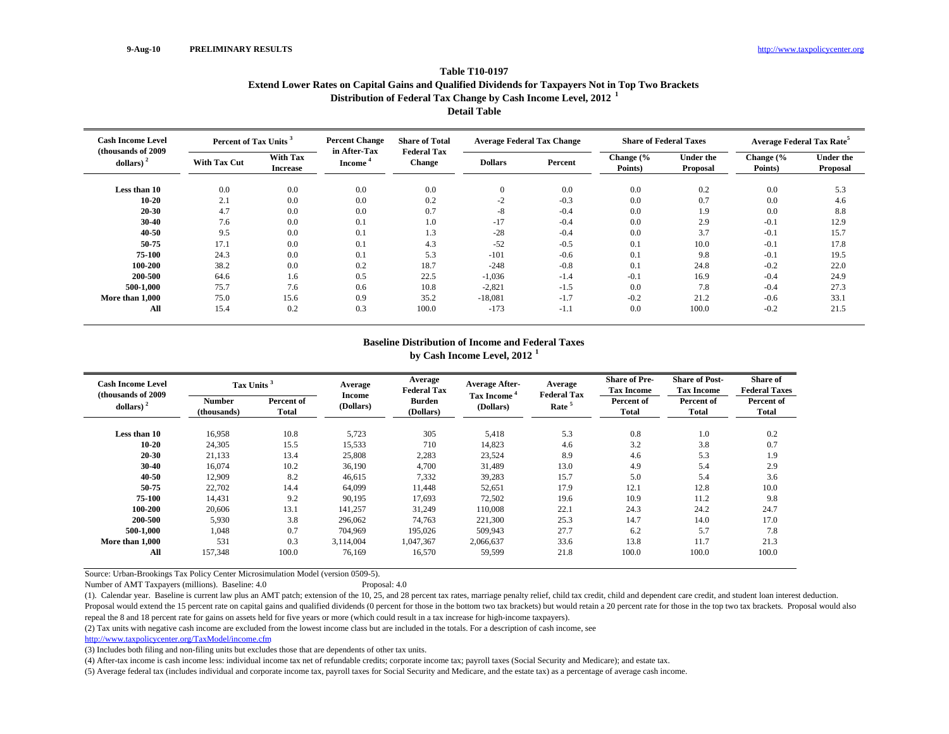### **Table T10-0197Extend Lower Rates on Capital Gains and Qualified Dividends for Taxpayers Not in Top Two Brackets Distribution of Federal Tax Change by Cash Income Level, 2012 <sup>1</sup>**

**Detail Table**

| <b>Cash Income Level</b><br>(thousands of 2009) |                     | <b>Percent Change</b><br>Percent of Tax Units <sup>3</sup> |                                     | <b>Share of Total</b><br><b>Federal Tax</b> | <b>Average Federal Tax Change</b> |         |                      | <b>Share of Federal Taxes</b> | <b>Average Federal Tax Rate<sup>5</sup></b> |                              |
|-------------------------------------------------|---------------------|------------------------------------------------------------|-------------------------------------|---------------------------------------------|-----------------------------------|---------|----------------------|-------------------------------|---------------------------------------------|------------------------------|
| dollars) $2$                                    | <b>With Tax Cut</b> | With Tax<br><b>Increase</b>                                | in After-Tax<br>Income <sup>®</sup> | <b>Change</b>                               | <b>Dollars</b>                    | Percent | Change (%<br>Points) | <b>Under the</b><br>Proposal  | Change (%<br>Points)                        | <b>Under the</b><br>Proposal |
| Less than 10                                    | 0.0                 | 0.0                                                        | 0.0                                 | 0.0                                         | $\theta$                          | 0.0     | 0.0                  | 0.2                           | 0.0                                         | 5.3                          |
| $10 - 20$                                       | 2.1                 | 0.0                                                        | 0.0                                 | 0.2                                         | $-2$                              | $-0.3$  | 0.0                  | 0.7                           | 0.0                                         | 4.6                          |
| 20-30                                           | 4.7                 | $0.0\,$                                                    | 0.0                                 | 0.7                                         | $-8$                              | $-0.4$  | 0.0                  | 1.9                           | 0.0                                         | 8.8                          |
| 30-40                                           | 7.6                 | 0.0                                                        | 0.1                                 | 1.0                                         | $-17$                             | $-0.4$  | 0.0                  | 2.9                           | $-0.1$                                      | 12.9                         |
| 40-50                                           | 9.5                 | 0.0                                                        | 0.1                                 | 1.3                                         | $-28$                             | $-0.4$  | 0.0                  | 3.7                           | $-0.1$                                      | 15.7                         |
| 50-75                                           | 17.1                | 0.0                                                        | 0.1                                 | 4.3                                         | $-52$                             | $-0.5$  | 0.1                  | 10.0                          | $-0.1$                                      | 17.8                         |
| 75-100                                          | 24.3                | 0.0                                                        | 0.1                                 | 5.3                                         | $-101$                            | $-0.6$  | 0.1                  | 9.8                           | $-0.1$                                      | 19.5                         |
| 100-200                                         | 38.2                | 0.0                                                        | 0.2                                 | 18.7                                        | $-248$                            | $-0.8$  | 0.1                  | 24.8                          | $-0.2$                                      | 22.0                         |
| 200-500                                         | 64.6                | 1.6                                                        | 0.5                                 | 22.5                                        | $-1,036$                          | $-1.4$  | $-0.1$               | 16.9                          | $-0.4$                                      | 24.9                         |
| 500-1.000                                       | 75.7                | 7.6                                                        | 0.6                                 | 10.8                                        | $-2,821$                          | $-1.5$  | 0.0                  | 7.8                           | $-0.4$                                      | 27.3                         |
| More than 1.000                                 | 75.0                | 15.6                                                       | 0.9                                 | 35.2                                        | $-18,081$                         | $-1.7$  | $-0.2$               | 21.2                          | $-0.6$                                      | 33.1                         |
| All                                             | 15.4                | 0.2                                                        | 0.3                                 | 100.0                                       | $-173$                            | $-1.1$  | 0.0                  | 100.0                         | $-0.2$                                      | 21.5                         |

## **Baseline Distribution of Income and Federal Taxes**

**by Cash Income Level, 2012 <sup>1</sup>**

| <b>Cash Income Level</b><br>(thousands of 2009) | Tax Units <sup>3</sup> |                     | Average<br><b>Income</b> | Average<br><b>Federal Tax</b> | <b>Average After-</b>   | Average<br><b>Federal Tax</b> | <b>Share of Pre-</b><br><b>Tax Income</b> | <b>Share of Post-</b><br><b>Tax Income</b> | <b>Share of</b><br><b>Federal Taxes</b> |
|-------------------------------------------------|------------------------|---------------------|--------------------------|-------------------------------|-------------------------|-------------------------------|-------------------------------------------|--------------------------------------------|-----------------------------------------|
| dollars) <sup>2</sup>                           | Number<br>(thousands)  | Percent of<br>Total | (Dollars)                | <b>Burden</b><br>(Dollars)    | Tax Income<br>(Dollars) | Rate <sup>5</sup>             | Percent of<br><b>Total</b>                | Percent of<br><b>Total</b>                 | Percent of<br>Total                     |
| Less than 10                                    | 16.958                 | 10.8                | 5,723                    | 305                           | 5,418                   | 5.3                           | 0.8                                       | 1.0                                        | 0.2                                     |
| $10 - 20$                                       | 24,305                 | 15.5                | 15,533                   | 710                           | 14,823                  | 4.6                           | 3.2                                       | 3.8                                        | 0.7                                     |
| 20-30                                           | 21,133                 | 13.4                | 25,808                   | 2,283                         | 23,524                  | 8.9                           | 4.6                                       | 5.3                                        | 1.9                                     |
| 30-40                                           | 16,074                 | 10.2                | 36,190                   | 4,700                         | 31,489                  | 13.0                          | 4.9                                       | 5.4                                        | 2.9                                     |
| 40-50                                           | 12,909                 | 8.2                 | 46,615                   | 7,332                         | 39,283                  | 15.7                          | 5.0                                       | 5.4                                        | 3.6                                     |
| 50-75                                           | 22,702                 | 14.4                | 64,099                   | 11,448                        | 52,651                  | 17.9                          | 12.1                                      | 12.8                                       | 10.0                                    |
| 75-100                                          | 14,431                 | 9.2                 | 90,195                   | 17,693                        | 72,502                  | 19.6                          | 10.9                                      | 11.2                                       | 9.8                                     |
| 100-200                                         | 20,606                 | 13.1                | 141,257                  | 31,249                        | 110,008                 | 22.1                          | 24.3                                      | 24.2                                       | 24.7                                    |
| 200-500                                         | 5,930                  | 3.8                 | 296,062                  | 74,763                        | 221,300                 | 25.3                          | 14.7                                      | 14.0                                       | 17.0                                    |
| 500-1,000                                       | 1,048                  | 0.7                 | 704,969                  | 195,026                       | 509,943                 | 27.7                          | 6.2                                       | 5.7                                        | 7.8                                     |
| More than 1,000                                 | 531                    | 0.3                 | 3,114,004                | 1,047,367                     | 2,066,637               | 33.6                          | 13.8                                      | 11.7                                       | 21.3                                    |
| $\mathbf{A}$ ll                                 | 157,348                | 100.0               | 76,169                   | 16,570                        | 59,599                  | 21.8                          | 100.0                                     | 100.0                                      | 100.0                                   |

Source: Urban-Brookings Tax Policy Center Microsimulation Model (version 0509-5).

Number of AMT Taxpayers (millions). Baseline: 4.0 Proposal: 4.0

(1). Calendar year. Baseline is current law plus an AMT patch; extension of the 10, 25, and 28 percent tax rates, marriage penalty relief, child tax credit, child and dependent care credit, and student loan interest deduct Proposal would extend the 15 percent rate on capital gains and qualified dividends (0 percent for those in the bottom two tax brackets) but would retain a 20 percent rate for those in the top two tax brackets. Proposal wou repeal the 8 and 18 percent rate for gains on assets held for five years or more (which could result in a tax increase for high-income taxpayers).

(2) Tax units with negative cash income are excluded from the lowest income class but are included in the totals. For a description of cash income, see

http://www.taxpolicycenter.org/TaxModel/income.cfm

(3) Includes both filing and non-filing units but excludes those that are dependents of other tax units.

(4) After-tax income is cash income less: individual income tax net of refundable credits; corporate income tax; payroll taxes (Social Security and Medicare); and estate tax.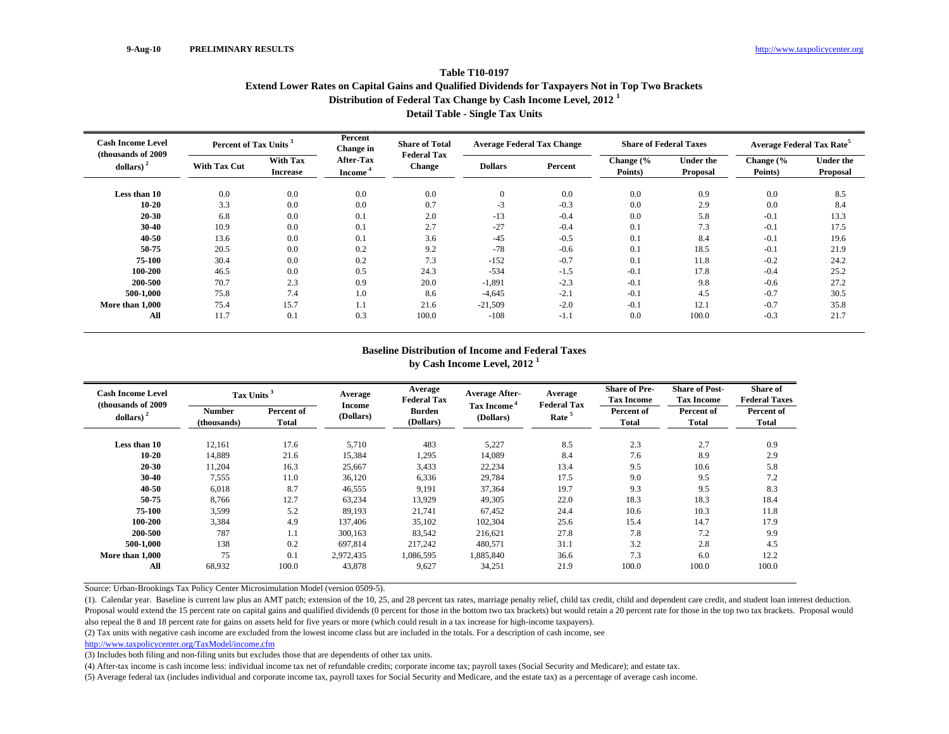### **Table T10-0197Extend Lower Rates on Capital Gains and Qualified Dividends for Taxpayers Not in Top Two Brackets Distribution of Federal Tax Change by Cash Income Level, 2012 <sup>1</sup> Detail Table - Single Tax Units**

| <b>Cash Income Level</b><br>(thousands of 2009) | Percent of Tax Units <sup>3</sup> |                                    | Percent<br>Change in             | <b>Share of Total</b><br><b>Federal Tax</b> |                | <b>Average Federal Tax Change</b> |                      | <b>Share of Federal Taxes</b> | <b>Average Federal Tax Rate</b> |                              |
|-------------------------------------------------|-----------------------------------|------------------------------------|----------------------------------|---------------------------------------------|----------------|-----------------------------------|----------------------|-------------------------------|---------------------------------|------------------------------|
| $dollars)$ <sup>2</sup>                         | <b>With Tax Cut</b>               | <b>With Tax</b><br><b>Increase</b> | After-Tax<br>Income <sup>4</sup> | <b>Change</b>                               | <b>Dollars</b> | Percent                           | Change (%<br>Points) | <b>Under the</b><br>Proposal  | Change (%<br>Points)            | <b>Under the</b><br>Proposal |
| Less than 10                                    | 0.0                               | 0.0                                | 0.0                              | 0.0                                         | $\overline{0}$ | 0.0                               | 0.0                  | 0.9                           | 0.0                             | 8.5                          |
| $10 - 20$                                       | 3.3                               | 0.0                                | 0.0                              | 0.7                                         | $-3$           | $-0.3$                            | 0.0                  | 2.9                           | 0.0                             | 8.4                          |
| $20 - 30$                                       | 6.8                               | 0.0                                | 0.1                              | 2.0                                         | $-13$          | $-0.4$                            | 0.0                  | 5.8                           | $-0.1$                          | 13.3                         |
| $30-40$                                         | 10.9                              | 0.0                                | 0.1                              | 2.7                                         | $-27$          | $-0.4$                            | 0.1                  | 7.3                           | $-0.1$                          | 17.5                         |
| 40-50                                           | 13.6                              | 0.0                                | 0.1                              | 3.6                                         | $-45$          | $-0.5$                            | 0.1                  | 8.4                           | $-0.1$                          | 19.6                         |
| 50-75                                           | 20.5                              | 0.0                                | 0.2                              | 9.2                                         | $-78$          | $-0.6$                            | 0.1                  | 18.5                          | $-0.1$                          | 21.9                         |
| 75-100                                          | 30.4                              | 0.0                                | 0.2                              | 7.3                                         | $-152$         | $-0.7$                            | 0.1                  | 11.8                          | $-0.2$                          | 24.2                         |
| 100-200                                         | 46.5                              | 0.0                                | 0.5                              | 24.3                                        | $-534$         | $-1.5$                            | $-0.1$               | 17.8                          | $-0.4$                          | 25.2                         |
| 200-500                                         | 70.7                              | 2.3                                | 0.9                              | 20.0                                        | $-1,891$       | $-2.3$                            | $-0.1$               | 9.8                           | $-0.6$                          | 27.2                         |
| 500-1.000                                       | 75.8                              | 7.4                                | 1.0                              | 8.6                                         | $-4,645$       | $-2.1$                            | $-0.1$               | 4.5                           | $-0.7$                          | 30.5                         |
| More than 1,000                                 | 75.4                              | 15.7                               | 1.1                              | 21.6                                        | $-21,509$      | $-2.0$                            | $-0.1$               | 12.1                          | $-0.7$                          | 35.8                         |
| All                                             | 11.7                              | 0.1                                | 0.3                              | 100.0                                       | $-108$         | $-1.1$                            | 0.0                  | 100.0                         | $-0.3$                          | 21.7                         |

#### **Baseline Distribution of Income and Federal Taxes by Cash Income Level, 2012 <sup>1</sup>**

| <b>Cash Income Level</b><br>(thousands of 2009) | Tax Units <sup>3</sup>       |                     | Average<br>Income | Average<br><b>Federal Tax</b> | <b>Average After-</b>                | Average<br><b>Federal Tax</b> | <b>Share of Pre-</b><br><b>Tax Income</b> | <b>Share of Post-</b><br><b>Tax Income</b> | <b>Share of</b><br><b>Federal Taxes</b> |
|-------------------------------------------------|------------------------------|---------------------|-------------------|-------------------------------|--------------------------------------|-------------------------------|-------------------------------------------|--------------------------------------------|-----------------------------------------|
| dollars) $2$                                    | <b>Number</b><br>(thousands) | Percent of<br>Total | (Dollars)         | <b>Burden</b><br>(Dollars)    | Tax Income <sup>4</sup><br>(Dollars) | Rate <sup>5</sup>             | Percent of<br><b>Total</b>                | Percent of<br>Total                        | Percent of<br>Total                     |
| Less than 10                                    | 12,161                       | 17.6                | 5,710             | 483                           | 5,227                                | 8.5                           | 2.3                                       | 2.7                                        | 0.9                                     |
| $10 - 20$                                       | 14,889                       | 21.6                | 15,384            | 1,295                         | 14,089                               | 8.4                           | 7.6                                       | 8.9                                        | 2.9                                     |
| 20-30                                           | 11,204                       | 16.3                | 25,667            | 3,433                         | 22,234                               | 13.4                          | 9.5                                       | 10.6                                       | 5.8                                     |
| 30-40                                           | 7,555                        | 11.0                | 36,120            | 6,336                         | 29,784                               | 17.5                          | 9.0                                       | 9.5                                        | 7.2                                     |
| 40-50                                           | 6,018                        | 8.7                 | 46,555            | 9,191                         | 37,364                               | 19.7                          | 9.3                                       | 9.5                                        | 8.3                                     |
| 50-75                                           | 8,766                        | 12.7                | 63,234            | 13,929                        | 49,305                               | 22.0                          | 18.3                                      | 18.3                                       | 18.4                                    |
| 75-100                                          | 3,599                        | 5.2                 | 89,193            | 21,741                        | 67.452                               | 24.4                          | 10.6                                      | 10.3                                       | 11.8                                    |
| 100-200                                         | 3,384                        | 4.9                 | 137.406           | 35,102                        | 102,304                              | 25.6                          | 15.4                                      | 14.7                                       | 17.9                                    |
| 200-500                                         | 787                          | 1.1                 | 300,163           | 83,542                        | 216,621                              | 27.8                          | 7.8                                       | 7.2                                        | 9.9                                     |
| 500-1,000                                       | 138                          | 0.2                 | 697,814           | 217,242                       | 480,571                              | 31.1                          | 3.2                                       | 2.8                                        | 4.5                                     |
| More than 1.000                                 | 75                           | 0.1                 | 2,972,435         | 1,086,595                     | 1,885,840                            | 36.6                          | 7.3                                       | 6.0                                        | 12.2                                    |
| All                                             | 68,932                       | 100.0               | 43,878            | 9,627                         | 34,251                               | 21.9                          | 100.0                                     | 100.0                                      | 100.0                                   |

Source: Urban-Brookings Tax Policy Center Microsimulation Model (version 0509-5).

(1). Calendar year. Baseline is current law plus an AMT patch; extension of the 10, 25, and 28 percent tax rates, marriage penalty relief, child tax credit, child and dependent care credit, and student loan interest deduct Proposal would extend the 15 percent rate on capital gains and qualified dividends (0 percent for those in the bottom two tax brackets) but would retain a 20 percent rate for those in the top two tax brackets. Proposal wou also repeal the 8 and 18 percent rate for gains on assets held for five years or more (which could result in a tax increase for high-income taxpayers).

(2) Tax units with negative cash income are excluded from the lowest income class but are included in the totals. For a description of cash income, see

http://www.taxpolicycenter.org/TaxModel/income.cfm

(3) Includes both filing and non-filing units but excludes those that are dependents of other tax units.

(4) After-tax income is cash income less: individual income tax net of refundable credits; corporate income tax; payroll taxes (Social Security and Medicare); and estate tax.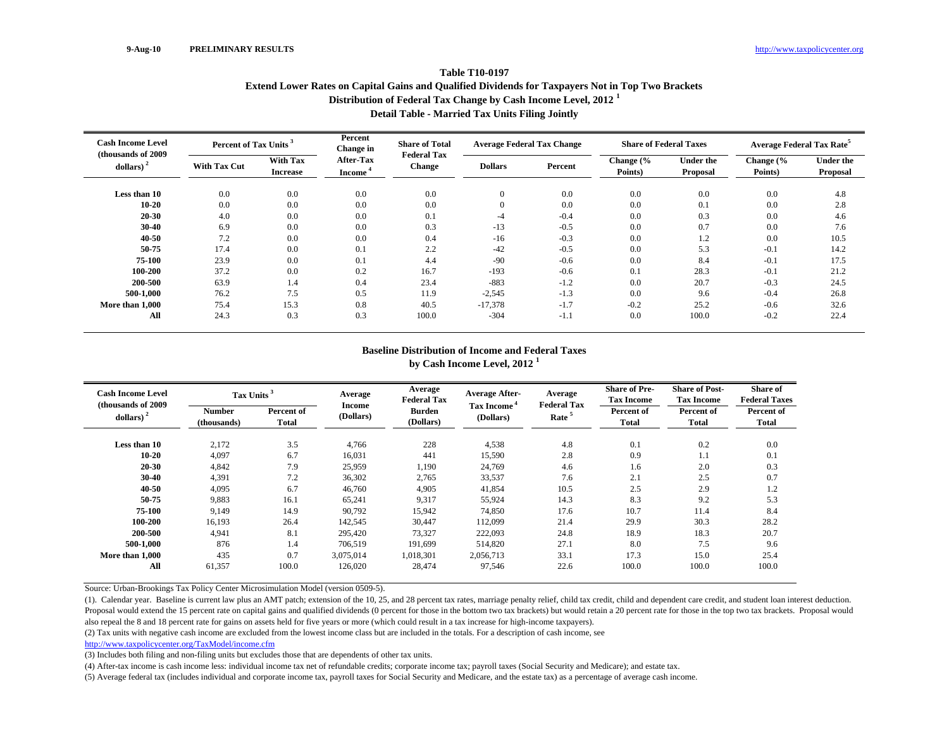### **Table T10-0197Extend Lower Rates on Capital Gains and Qualified Dividends for Taxpayers Not in Top Two Brackets Distribution of Federal Tax Change by Cash Income Level, 2012 <sup>1</sup> Detail Table - Married Tax Units Filing Jointly**

| <b>Cash Income Level</b><br>(thousands of 2009) | Percent of Tax Units <sup>3</sup> |                                    | Percent<br><b>Change</b> in      | <b>Share of Total</b> | <b>Average Federal Tax Change</b><br><b>Federal Tax</b> |         |                      | <b>Share of Federal Taxes</b>       | <b>Average Federal Tax Rate<sup>5</sup></b> |                       |
|-------------------------------------------------|-----------------------------------|------------------------------------|----------------------------------|-----------------------|---------------------------------------------------------|---------|----------------------|-------------------------------------|---------------------------------------------|-----------------------|
| dollars)                                        | <b>With Tax Cut</b>               | <b>With Tax</b><br><b>Increase</b> | After-Tax<br>Income <sup>4</sup> | <b>Change</b>         | <b>Dollars</b>                                          | Percent | Change (%<br>Points) | <b>Under the</b><br><b>Proposal</b> | Change (%<br>Points)                        | Under the<br>Proposal |
| Less than 10                                    | 0.0                               | 0.0                                | 0.0                              | 0.0                   | $\mathbf{0}$                                            | 0.0     | 0.0                  | 0.0                                 | 0.0                                         | 4.8                   |
| $10 - 20$                                       | 0.0                               | 0.0                                | 0.0                              | 0.0                   | $\mathbf{0}$                                            | 0.0     | 0.0                  | 0.1                                 | 0.0                                         | 2.8                   |
| 20-30                                           | 4.0                               | 0.0                                | 0.0                              | 0.1                   | -4                                                      | $-0.4$  | 0.0                  | 0.3                                 | 0.0                                         | 4.6                   |
| $30-40$                                         | 6.9                               | 0.0                                | 0.0                              | 0.3                   | $-13$                                                   | $-0.5$  | 0.0                  | 0.7                                 | 0.0                                         | 7.6                   |
| 40-50                                           | 7.2                               | 0.0                                | 0.0                              | 0.4                   | $-16$                                                   | $-0.3$  | 0.0                  | 1.2                                 | 0.0                                         | 10.5                  |
| 50-75                                           | 17.4                              | 0.0                                | 0.1                              | 2.2                   | $-42$                                                   | $-0.5$  | 0.0                  | 5.3                                 | $-0.1$                                      | 14.2                  |
| 75-100                                          | 23.9                              | 0.0                                | 0.1                              | 4.4                   | $-90$                                                   | $-0.6$  | 0.0                  | 8.4                                 | $-0.1$                                      | 17.5                  |
| 100-200                                         | 37.2                              | 0.0                                | 0.2                              | 16.7                  | $-193$                                                  | $-0.6$  | 0.1                  | 28.3                                | $-0.1$                                      | 21.2                  |
| 200-500                                         | 63.9                              | 1.4                                | 0.4                              | 23.4                  | $-883$                                                  | $-1.2$  | 0.0                  | 20.7                                | $-0.3$                                      | 24.5                  |
| 500-1.000                                       | 76.2                              | 7.5                                | 0.5                              | 11.9                  | $-2,545$                                                | $-1.3$  | 0.0                  | 9.6                                 | $-0.4$                                      | 26.8                  |
| More than 1,000                                 | 75.4                              | 15.3                               | 0.8                              | 40.5                  | $-17,378$                                               | $-1.7$  | $-0.2$               | 25.2                                | $-0.6$                                      | 32.6                  |
| All                                             | 24.3                              | 0.3                                | 0.3                              | 100.0                 | $-304$                                                  | $-1.1$  | 0.0                  | 100.0                               | $-0.2$                                      | 22.4                  |

#### **Baseline Distribution of Income and Federal Taxes by Cash Income Level, 2012 <sup>1</sup>**

| <b>Cash Income Level</b><br>(thousands of 2009) | Tax Units <sup>3</sup>       |                     | Average<br><b>Income</b> | Average<br><b>Federal Tax</b> | <b>Average After-</b><br>Tax Income <sup>4</sup> | Average<br><b>Federal Tax</b> | <b>Share of Pre-</b><br><b>Tax Income</b> | <b>Share of Post-</b><br><b>Tax Income</b> | <b>Share of</b><br><b>Federal Taxes</b> |
|-------------------------------------------------|------------------------------|---------------------|--------------------------|-------------------------------|--------------------------------------------------|-------------------------------|-------------------------------------------|--------------------------------------------|-----------------------------------------|
| dollars) $2$                                    | <b>Number</b><br>(thousands) | Percent of<br>Total | (Dollars)                | <b>Burden</b><br>(Dollars)    | (Dollars)                                        | Rate <sup>5</sup>             | Percent of<br><b>Total</b>                | Percent of<br>Total                        | Percent of<br>Total                     |
| Less than 10                                    | 2,172                        | 3.5                 | 4,766                    | 228                           | 4,538                                            | 4.8                           | 0.1                                       | 0.2                                        | 0.0                                     |
| $10 - 20$                                       | 4,097                        | 6.7                 | 16,031                   | 441                           | 15,590                                           | 2.8                           | 0.9                                       | 1.1                                        | 0.1                                     |
| 20-30                                           | 4,842                        | 7.9                 | 25,959                   | 1,190                         | 24,769                                           | 4.6                           | 1.6                                       | 2.0                                        | 0.3                                     |
| 30-40                                           | 4,391                        | 7.2                 | 36,302                   | 2,765                         | 33,537                                           | 7.6                           | 2.1                                       | 2.5                                        | 0.7                                     |
| 40-50                                           | 4,095                        | 6.7                 | 46,760                   | 4,905                         | 41,854                                           | 10.5                          | 2.5                                       | 2.9                                        | 1.2                                     |
| 50-75                                           | 9,883                        | 16.1                | 65,241                   | 9,317                         | 55,924                                           | 14.3                          | 8.3                                       | 9.2                                        | 5.3                                     |
| 75-100                                          | 9.149                        | 14.9                | 90,792                   | 15.942                        | 74.850                                           | 17.6                          | 10.7                                      | 11.4                                       | 8.4                                     |
| 100-200                                         | 16,193                       | 26.4                | 142,545                  | 30,447                        | 112,099                                          | 21.4                          | 29.9                                      | 30.3                                       | 28.2                                    |
| 200-500                                         | 4,941                        | 8.1                 | 295,420                  | 73,327                        | 222,093                                          | 24.8                          | 18.9                                      | 18.3                                       | 20.7                                    |
| 500-1.000                                       | 876                          | 1.4                 | 706,519                  | 191.699                       | 514,820                                          | 27.1                          | 8.0                                       | 7.5                                        | 9.6                                     |
| More than 1.000                                 | 435                          | 0.7                 | 3,075,014                | 1,018,301                     | 2,056,713                                        | 33.1                          | 17.3                                      | 15.0                                       | 25.4                                    |
| All                                             | 61,357                       | 100.0               | 126.020                  | 28,474                        | 97,546                                           | 22.6                          | 100.0                                     | 100.0                                      | 100.0                                   |

Source: Urban-Brookings Tax Policy Center Microsimulation Model (version 0509-5).

(1). Calendar year. Baseline is current law plus an AMT patch; extension of the 10, 25, and 28 percent tax rates, marriage penalty relief, child tax credit, child and dependent care credit, and student loan interest deduct Proposal would extend the 15 percent rate on capital gains and qualified dividends (0 percent for those in the bottom two tax brackets) but would retain a 20 percent rate for those in the top two tax brackets. Proposal wou also repeal the 8 and 18 percent rate for gains on assets held for five years or more (which could result in a tax increase for high-income taxpayers).

(2) Tax units with negative cash income are excluded from the lowest income class but are included in the totals. For a description of cash income, see

http://www.taxpolicycenter.org/TaxModel/income.cfm

(3) Includes both filing and non-filing units but excludes those that are dependents of other tax units.

(4) After-tax income is cash income less: individual income tax net of refundable credits; corporate income tax; payroll taxes (Social Security and Medicare); and estate tax.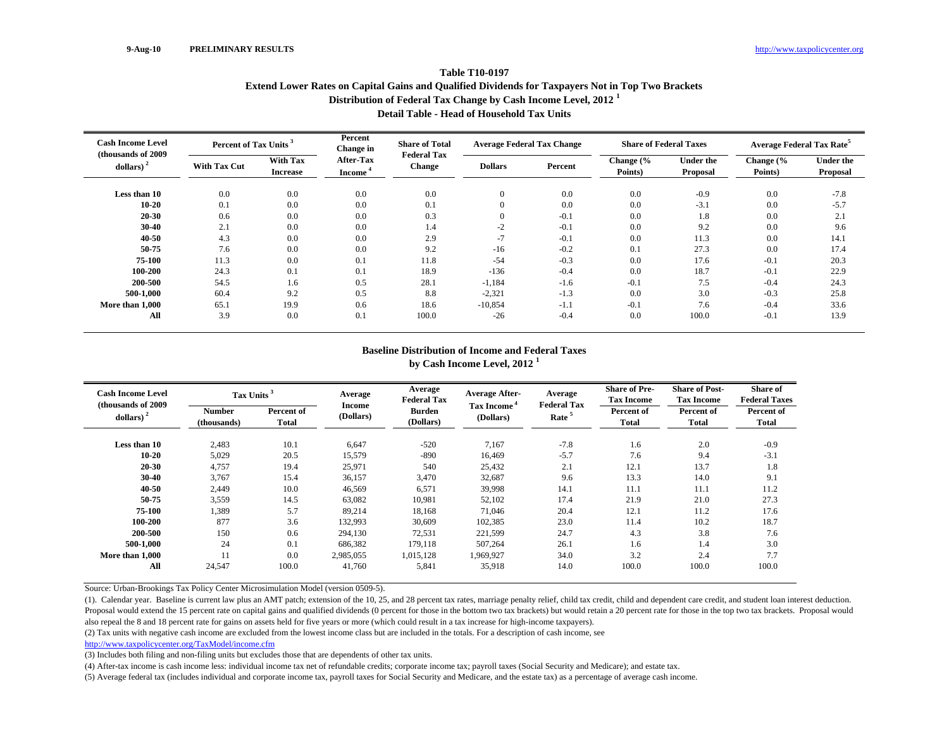### **Table T10-0197Extend Lower Rates on Capital Gains and Qualified Dividends for Taxpayers Not in Top Two Brackets Distribution of Federal Tax Change by Cash Income Level, 2012 <sup>1</sup> Detail Table - Head of Household Tax Units**

| <b>Cash Income Level</b><br>(thousands of 2009) | Percent of Tax Units <sup>3</sup> |                                    | Percent<br>Change in             | <b>Share of Total</b><br><b>Federal Tax</b> | <b>Average Federal Tax Change</b> |         | <b>Share of Federal Taxes</b> |                              | <b>Average Federal Tax Rate</b> |                              |
|-------------------------------------------------|-----------------------------------|------------------------------------|----------------------------------|---------------------------------------------|-----------------------------------|---------|-------------------------------|------------------------------|---------------------------------|------------------------------|
| $dollars)$ <sup>2</sup>                         | <b>With Tax Cut</b>               | <b>With Tax</b><br><b>Increase</b> | After-Tax<br>Income <sup>4</sup> | <b>Change</b>                               | <b>Dollars</b>                    | Percent | Change (%<br>Points)          | <b>Under the</b><br>Proposal | Change (%<br>Points)            | <b>Under the</b><br>Proposal |
| Less than 10                                    | 0.0                               | 0.0                                | 0.0                              | 0.0                                         | $\overline{0}$                    | 0.0     | 0.0                           | $-0.9$                       | 0.0                             | $-7.8$                       |
| $10 - 20$                                       | 0.1                               | 0.0                                | 0.0                              | 0.1                                         | $\overline{0}$                    | 0.0     | 0.0                           | $-3.1$                       | 0.0                             | $-5.7$                       |
| $20 - 30$                                       | 0.6                               | 0.0                                | 0.0                              | 0.3                                         | $\overline{0}$                    | $-0.1$  | 0.0                           | 1.8                          | 0.0                             | 2.1                          |
| $30-40$                                         | 2.1                               | 0.0                                | 0.0                              | 1.4                                         | $-2$                              | $-0.1$  | 0.0                           | 9.2                          | 0.0                             | 9.6                          |
| 40-50                                           | 4.3                               | 0.0                                | 0.0                              | 2.9                                         | $-7$                              | $-0.1$  | 0.0                           | 11.3                         | 0.0                             | 14.1                         |
| 50-75                                           | 7.6                               | 0.0                                | 0.0                              | 9.2                                         | $-16$                             | $-0.2$  | 0.1                           | 27.3                         | 0.0                             | 17.4                         |
| 75-100                                          | 11.3                              | 0.0                                | 0.1                              | 11.8                                        | $-54$                             | $-0.3$  | 0.0                           | 17.6                         | $-0.1$                          | 20.3                         |
| 100-200                                         | 24.3                              | 0.1                                | 0.1                              | 18.9                                        | $-136$                            | $-0.4$  | 0.0                           | 18.7                         | $-0.1$                          | 22.9                         |
| 200-500                                         | 54.5                              | 1.6                                | 0.5                              | 28.1                                        | $-1,184$                          | $-1.6$  | $-0.1$                        | 7.5                          | $-0.4$                          | 24.3                         |
| 500-1.000                                       | 60.4                              | 9.2                                | 0.5                              | 8.8                                         | $-2,321$                          | $-1.3$  | 0.0                           | 3.0                          | $-0.3$                          | 25.8                         |
| More than 1,000                                 | 65.1                              | 19.9                               | 0.6                              | 18.6                                        | $-10,854$                         | $-1.1$  | $-0.1$                        | 7.6                          | $-0.4$                          | 33.6                         |
| All                                             | 3.9                               | 0.0                                | 0.1                              | 100.0                                       | $-26$                             | $-0.4$  | 0.0                           | 100.0                        | $-0.1$                          | 13.9                         |

#### **Baseline Distribution of Income and Federal Taxes by Cash Income Level, 2012 <sup>1</sup>**

| <b>Cash Income Level</b><br>(thousands of 2009) | Tax Units <sup>3</sup>       |                     | Average                    | Average<br><b>Federal Tax</b> | <b>Average After-</b>                | Average<br><b>Federal Tax</b> | <b>Share of Pre-</b><br><b>Tax Income</b> | <b>Share of Post-</b><br><b>Tax Income</b> | <b>Share of</b><br><b>Federal Taxes</b> |
|-------------------------------------------------|------------------------------|---------------------|----------------------------|-------------------------------|--------------------------------------|-------------------------------|-------------------------------------------|--------------------------------------------|-----------------------------------------|
| dollars) $2$                                    | <b>Number</b><br>(thousands) | Percent of<br>Total | <b>Income</b><br>(Dollars) | <b>Burden</b><br>(Dollars)    | Tax Income <sup>4</sup><br>(Dollars) | Rate <sup>5</sup>             | Percent of<br><b>Total</b>                | Percent of<br>Total                        | Percent of<br>Total                     |
| Less than 10                                    | 2,483                        | 10.1                | 6,647                      | $-520$                        | 7,167                                | $-7.8$                        | 1.6                                       | 2.0                                        | $-0.9$                                  |
| $10 - 20$                                       | 5,029                        | 20.5                | 15,579                     | $-890$                        | 16,469                               | $-5.7$                        | 7.6                                       | 9.4                                        | $-3.1$                                  |
| 20-30                                           | 4,757                        | 19.4                | 25,971                     | 540                           | 25,432                               | 2.1                           | 12.1                                      | 13.7                                       | 1.8                                     |
| 30-40                                           | 3,767                        | 15.4                | 36,157                     | 3,470                         | 32,687                               | 9.6                           | 13.3                                      | 14.0                                       | 9.1                                     |
| 40-50                                           | 2,449                        | 10.0                | 46,569                     | 6,571                         | 39,998                               | 14.1                          | 11.1                                      | 11.1                                       | 11.2                                    |
| 50-75                                           | 3,559                        | 14.5                | 63,082                     | 10,981                        | 52,102                               | 17.4                          | 21.9                                      | 21.0                                       | 27.3                                    |
| 75-100                                          | 1,389                        | 5.7                 | 89.214                     | 18,168                        | 71.046                               | 20.4                          | 12.1                                      | 11.2                                       | 17.6                                    |
| 100-200                                         | 877                          | 3.6                 | 132,993                    | 30,609                        | 102,385                              | 23.0                          | 11.4                                      | 10.2                                       | 18.7                                    |
| 200-500                                         | 150                          | 0.6                 | 294,130                    | 72,531                        | 221,599                              | 24.7                          | 4.3                                       | 3.8                                        | 7.6                                     |
| 500-1.000                                       | 24                           | 0.1                 | 686,382                    | 179,118                       | 507,264                              | 26.1                          | 1.6                                       | 1.4                                        | 3.0                                     |
| More than 1,000                                 |                              | 0.0                 | 2,985,055                  | 1,015,128                     | 1,969,927                            | 34.0                          | 3.2                                       | 2.4                                        | 7.7                                     |
| All                                             | 24,547                       | 100.0               | 41.760                     | 5,841                         | 35,918                               | 14.0                          | 100.0                                     | 100.0                                      | 100.0                                   |

Source: Urban-Brookings Tax Policy Center Microsimulation Model (version 0509-5).

(1). Calendar year. Baseline is current law plus an AMT patch; extension of the 10, 25, and 28 percent tax rates, marriage penalty relief, child tax credit, child and dependent care credit, and student loan interest deduct Proposal would extend the 15 percent rate on capital gains and qualified dividends (0 percent for those in the bottom two tax brackets) but would retain a 20 percent rate for those in the top two tax brackets. Proposal wou also repeal the 8 and 18 percent rate for gains on assets held for five years or more (which could result in a tax increase for high-income taxpayers).

(2) Tax units with negative cash income are excluded from the lowest income class but are included in the totals. For a description of cash income, see

http://www.taxpolicycenter.org/TaxModel/income.cfm

(3) Includes both filing and non-filing units but excludes those that are dependents of other tax units.

(4) After-tax income is cash income less: individual income tax net of refundable credits; corporate income tax; payroll taxes (Social Security and Medicare); and estate tax.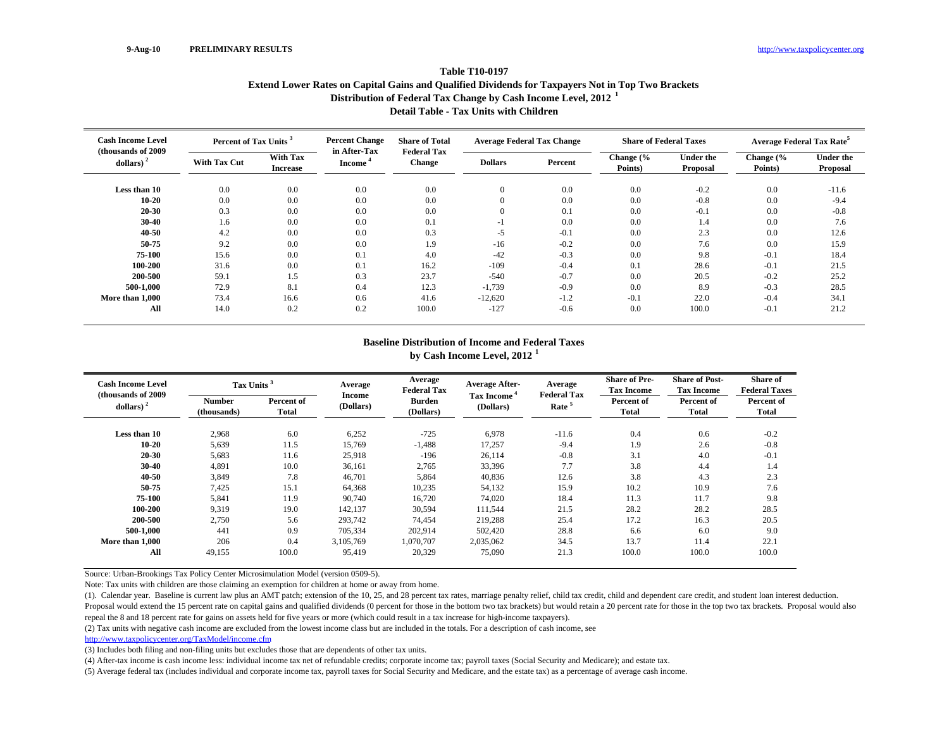### **Table T10-0197Extend Lower Rates on Capital Gains and Qualified Dividends for Taxpayers Not in Top Two Brackets Distribution of Federal Tax Change by Cash Income Level, 2012 <sup>1</sup> Detail Table - Tax Units with Children**

| <b>Cash Income Level</b>        | Percent of Tax Units <sup>3</sup> |                                    | <b>Percent Change</b>  | <b>Share of Total</b>               | <b>Average Federal Tax Change</b> |         | <b>Share of Federal Taxes</b> |                              | <b>Average Federal Tax Rate<sup>5</sup></b> |                              |
|---------------------------------|-----------------------------------|------------------------------------|------------------------|-------------------------------------|-----------------------------------|---------|-------------------------------|------------------------------|---------------------------------------------|------------------------------|
| (thousands of 2009)<br>dollars) | <b>With Tax Cut</b>               | <b>With Tax</b><br><b>Increase</b> | in After-Tax<br>Income | <b>Federal Tax</b><br><b>Change</b> | <b>Dollars</b>                    | Percent | Change (%<br>Points)          | <b>Under the</b><br>Proposal | Change (%<br>Points)                        | <b>Under the</b><br>Proposal |
| Less than 10                    | 0.0                               | 0.0                                | 0.0                    | 0.0                                 | 0                                 | 0.0     | 0.0                           | $-0.2$                       | 0.0                                         | $-11.6$                      |
| $10 - 20$                       | 0.0                               | 0.0                                | 0.0                    | 0.0                                 | 0                                 | 0.0     | 0.0                           | $-0.8$                       | 0.0                                         | $-9.4$                       |
| 20-30                           | 0.3                               | 0.0                                | 0.0                    | 0.0                                 |                                   | 0.1     | 0.0                           | $-0.1$                       | 0.0                                         | $-0.8$                       |
| 30-40                           | 1.6                               | 0.0                                | 0.0                    | 0.1                                 | ٠.                                | 0.0     | 0.0                           | 1.4                          | 0.0                                         | 7.6                          |
| 40-50                           | 4.2                               | 0.0                                | 0.0                    | 0.3                                 | $-5$                              | $-0.1$  | 0.0                           | 2.3                          | 0.0                                         | 12.6                         |
| 50-75                           | 9.2                               | 0.0                                | 0.0                    | 1.9                                 | $-16$                             | $-0.2$  | 0.0                           | 7.6                          | 0.0                                         | 15.9                         |
| 75-100                          | 15.6                              | 0.0                                | 0.1                    | 4.0                                 | $-42$                             | $-0.3$  | 0.0                           | 9.8                          | $-0.1$                                      | 18.4                         |
| 100-200                         | 31.6                              | 0.0                                | 0.1                    | 16.2                                | $-109$                            | $-0.4$  | 0.1                           | 28.6                         | $-0.1$                                      | 21.5                         |
| 200-500                         | 59.1                              | 1.5                                | 0.3                    | 23.7                                | $-540$                            | $-0.7$  | 0.0                           | 20.5                         | $-0.2$                                      | 25.2                         |
| 500-1,000                       | 72.9                              | 8.1                                | 0.4                    | 12.3                                | $-1,739$                          | $-0.9$  | 0.0                           | 8.9                          | $-0.3$                                      | 28.5                         |
| More than 1,000                 | 73.4                              | 16.6                               | 0.6                    | 41.6                                | $-12,620$                         | $-1.2$  | $-0.1$                        | 22.0                         | $-0.4$                                      | 34.1                         |
| All                             | 14.0                              | 0.2                                | 0.2                    | 100.0                               | $-127$                            | $-0.6$  | 0.0                           | 100.0                        | $-0.1$                                      | 21.2                         |

# **Baseline Distribution of Income and Federal Taxes**

**by Cash Income Level, 2012 <sup>1</sup>**

| <b>Cash Income Level</b><br>(thousands of 2009) | Tax Units <sup>3</sup>       |                     | Average             | Average<br><b>Federal Tax</b> | <b>Average After-</b>          | Average<br><b>Federal Tax</b> | <b>Share of Pre-</b><br><b>Tax Income</b> | <b>Share of Post-</b><br><b>Tax Income</b> | <b>Share of</b><br><b>Federal Taxes</b> |
|-------------------------------------------------|------------------------------|---------------------|---------------------|-------------------------------|--------------------------------|-------------------------------|-------------------------------------------|--------------------------------------------|-----------------------------------------|
| dollars) $2$                                    | <b>Number</b><br>(thousands) | Percent of<br>Total | Income<br>(Dollars) | <b>Burden</b><br>(Dollars)    | <b>Tax Income</b><br>(Dollars) | Rate <sup>5</sup>             | Percent of<br>Total                       | Percent of<br><b>Total</b>                 | Percent of<br>Total                     |
| Less than 10                                    | 2,968                        | 6.0                 | 6,252               | $-725$                        | 6.978                          | $-11.6$                       | 0.4                                       | 0.6                                        | $-0.2$                                  |
| $10 - 20$                                       | 5,639                        | 11.5                | 15,769              | $-1,488$                      | 17,257                         | $-9.4$                        | 1.9                                       | 2.6                                        | $-0.8$                                  |
| 20-30                                           | 5,683                        | 11.6                | 25,918              | $-196$                        | 26,114                         | $-0.8$                        | 3.1                                       | 4.0                                        | $-0.1$                                  |
| 30-40                                           | 4,891                        | 10.0                | 36,161              | 2,765                         | 33,396                         | 7.7                           | 3.8                                       | 4.4                                        | 1.4                                     |
| 40-50                                           | 3,849                        | 7.8                 | 46,701              | 5,864                         | 40,836                         | 12.6                          | 3.8                                       | 4.3                                        | 2.3                                     |
| 50-75                                           | 7,425                        | 15.1                | 64,368              | 10,235                        | 54,132                         | 15.9                          | 10.2                                      | 10.9                                       | 7.6                                     |
| 75-100                                          | 5,841                        | 11.9                | 90,740              | 16,720                        | 74,020                         | 18.4                          | 11.3                                      | 11.7                                       | 9.8                                     |
| 100-200                                         | 9,319                        | 19.0                | 142,137             | 30,594                        | 111,544                        | 21.5                          | 28.2                                      | 28.2                                       | 28.5                                    |
| 200-500                                         | 2,750                        | 5.6                 | 293,742             | 74,454                        | 219,288                        | 25.4                          | 17.2                                      | 16.3                                       | 20.5                                    |
| 500-1.000                                       | 441                          | 0.9                 | 705,334             | 202,914                       | 502,420                        | 28.8                          | 6.6                                       | 6.0                                        | 9.0                                     |
| More than 1.000                                 | 206                          | 0.4                 | 3,105,769           | 1,070,707                     | 2,035,062                      | 34.5                          | 13.7                                      | 11.4                                       | 22.1                                    |
| All                                             | 49,155                       | 100.0               | 95,419              | 20,329                        | 75,090                         | 21.3                          | 100.0                                     | 100.0                                      | 100.0                                   |

Source: Urban-Brookings Tax Policy Center Microsimulation Model (version 0509-5).

Note: Tax units with children are those claiming an exemption for children at home or away from home.

(1). Calendar year. Baseline is current law plus an AMT patch; extension of the 10, 25, and 28 percent tax rates, marriage penalty relief, child tax credit, child and dependent care credit, and student loan interest deduct Proposal would extend the 15 percent rate on capital gains and qualified dividends (0 percent for those in the bottom two tax brackets) but would retain a 20 percent rate for those in the top two tax brackets. Proposal wou repeal the 8 and 18 percent rate for gains on assets held for five years or more (which could result in a tax increase for high-income taxpayers).

(2) Tax units with negative cash income are excluded from the lowest income class but are included in the totals. For a description of cash income, see

http://www.taxpolicycenter.org/TaxModel/income.cfm

(3) Includes both filing and non-filing units but excludes those that are dependents of other tax units.

(4) After-tax income is cash income less: individual income tax net of refundable credits; corporate income tax; payroll taxes (Social Security and Medicare); and estate tax.